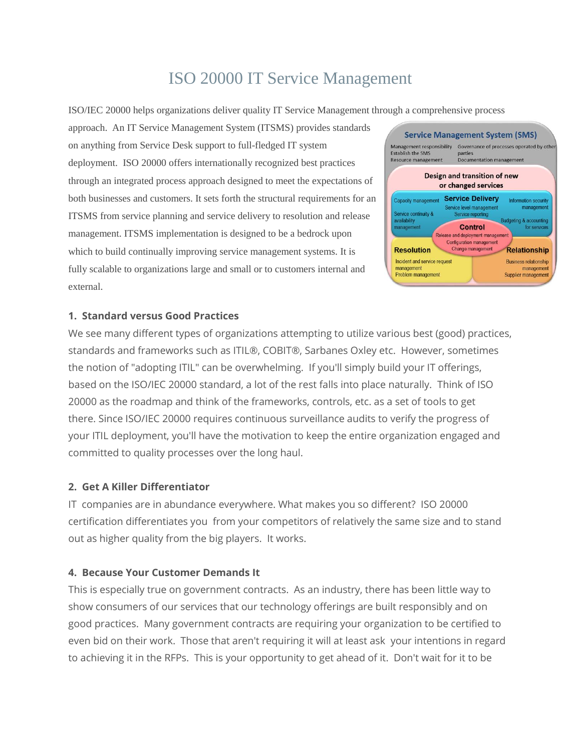# ISO 20000 IT Service Management

ISO/IEC 20000 helps organizations deliver quality IT Service Management through a comprehensive process

approach. An IT Service Management System (ITSMS) provides standards on anything from Service Desk support to full-fledged IT system deployment. ISO 20000 offers internationally recognized best practices through an integrated process approach designed to meet the expectations of both businesses and customers. It sets forth the structural requirements for an ITSMS from service planning and service delivery to resolution and release management. ITSMS implementation is designed to be a bedrock upon which to build continually improving service management systems. It is fully scalable to organizations large and small or to customers internal and external.



#### **1. Standard versus Good Practices**

We see many different types of organizations attempting to utilize various best (good) practices, standards and frameworks such as ITIL®, COBIT®, Sarbanes Oxley etc. However, sometimes the notion of "adopting ITIL" can be overwhelming. If you'll simply build your IT offerings, based on the ISO/IEC 20000 standard, a lot of the rest falls into place naturally. Think of ISO 20000 as the roadmap and think of the frameworks, controls, etc. as a set of tools to get there. Since ISO/IEC 20000 requires continuous surveillance audits to verify the progress of your ITIL deployment, you'll have the motivation to keep the entire organization engaged and committed to quality processes over the long haul.

#### **2. Get A Killer Differentiator**

IT companies are in abundance everywhere. What makes you so different? ISO 20000 certification differentiates you from your competitors of relatively the same size and to stand out as higher quality from the big players. It works.

### **4. Because Your Customer Demands It**

This is especially true on government contracts. As an industry, there has been little way to show consumers of our services that our technology offerings are built responsibly and on good practices. Many government contracts are requiring your organization to be certified to even bid on their work. Those that aren't requiring it will at least ask your intentions in regard to achieving it in the RFPs. This is your opportunity to get ahead of it. Don't wait for it to be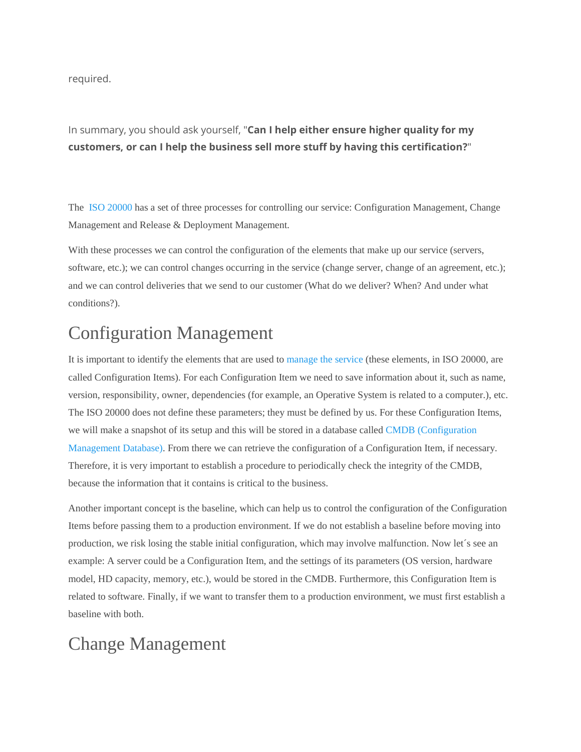required.

In summary, you should ask yourself, "**Can I help either ensure higher quality for my customers, or can I help the business sell more stuff by having this certification?**"

The [ISO 20000](http://www.20000academy.com/what-is-iso-20000/) has a set of three processes for controlling our service: Configuration Management, Change Management and Release & Deployment Management.

With these processes we can control the configuration of the elements that make up our service (servers, software, etc.); we can control changes occurring in the service (change server, change of an agreement, etc.); and we can control deliveries that we send to our customer (What do we deliver? When? And under what conditions?).

## Configuration Management

It is important to identify the elements that are used to [manage the service](http://www.20000academy.com/documentation/sms-plan/) (these elements, in ISO 20000, are called Configuration Items). For each Configuration Item we need to save information about it, such as name, version, responsibility, owner, dependencies (for example, an Operative System is related to a computer.), etc. The ISO 20000 does not define these parameters; they must be defined by us. For these Configuration Items, we will make a snapshot of its setup and this will be stored in a database called [CMDB \(Configuration](http://www.20000academy.com/documentation/cmdb/)  [Management Database\).](http://www.20000academy.com/documentation/cmdb/) From there we can retrieve the configuration of a Configuration Item, if necessary. Therefore, it is very important to establish a procedure to periodically check the integrity of the CMDB, because the information that it contains is critical to the business.

Another important concept is the baseline, which can help us to control the configuration of the Configuration Items before passing them to a production environment. If we do not establish a baseline before moving into production, we risk losing the stable initial configuration, which may involve malfunction. Now let´s see an example: A server could be a Configuration Item, and the settings of its parameters (OS version, hardware model, HD capacity, memory, etc.), would be stored in the CMDB. Furthermore, this Configuration Item is related to software. Finally, if we want to transfer them to a production environment, we must first establish a baseline with both.

### Change Management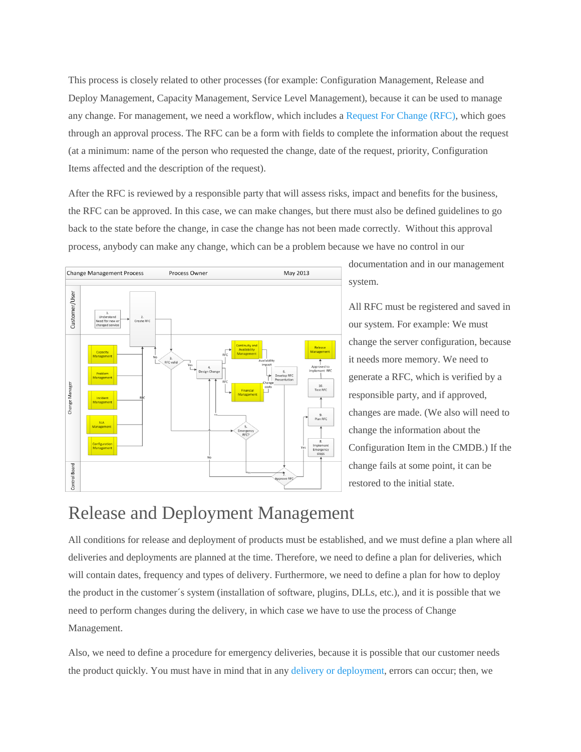This process is closely related to other processes (for example: Configuration Management, Release and Deploy Management, Capacity Management, Service Level Management), because it can be used to manage any change. For management, we need a workflow, which includes [a Request For Change \(RFC\),](http://www.20000academy.com/documentation/request-for-change-and-change-record/) which goes through an approval process. The RFC can be a form with fields to complete the information about the request (at a minimum: name of the person who requested the change, date of the request, priority, Configuration Items affected and the description of the request).

After the RFC is reviewed by a responsible party that will assess risks, impact and benefits for the business, the RFC can be approved. In this case, we can make changes, but there must also be defined guidelines to go back to the state before the change, in case the change has not been made correctly. Without this approval process, anybody can make any change, which can be a problem because we have no control in our



documentation and in our management system.

All RFC must be registered and saved in our system. For example: We must change the server configuration, because it needs more memory. We need to generate a RFC, which is verified by a responsible party, and if approved, changes are made. (We also will need to change the information about the Configuration Item in the CMDB.) If the change fails at some point, it can be restored to the initial state.

### Release and Deployment Management

All conditions for release and deployment of products must be established, and we must define a plan where all deliveries and deployments are planned at the time. Therefore, we need to define a plan for deliveries, which will contain dates, frequency and types of delivery. Furthermore, we need to define a plan for how to deploy the product in the customer´s system (installation of software, plugins, DLLs, etc.), and it is possible that we need to perform changes during the delivery, in which case we have to use the process of Change Management.

Also, we need to define a procedure for emergency deliveries, because it is possible that our customer needs the product quickly. You must have in mind that in any [delivery or deployment,](http://www.20000academy.com/documentation/release-and-deployment-planning/) errors can occur; then, we